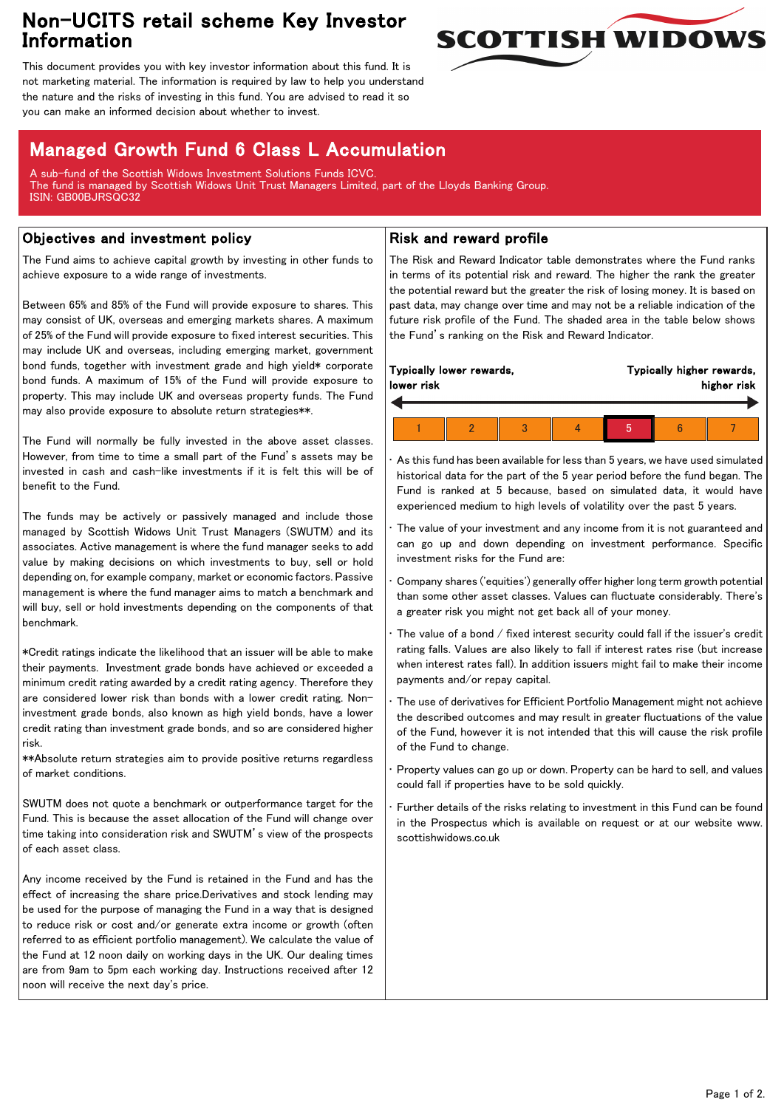## Non-UCITS retail scheme Key Investor Information



This document provides you with key investor information about this fund. It is not marketing material. The information is required by law to help you understand the nature and the risks of investing in this fund. You are advised to read it so you can make an informed decision about whether to invest.

# Managed Growth Fund 6 Class L Accumulation

A sub-fund of the Scottish Widows Investment Solutions Funds ICVC. The fund is managed by Scottish Widows Unit Trust Managers Limited, part of the Lloyds Banking Group. ISIN: GB00BJRSQC32

### Objectives and investment policy

The Fund aims to achieve capital growth by investing in other funds to achieve exposure to a wide range of investments.

Between 65% and 85% of the Fund will provide exposure to shares. This may consist of UK, overseas and emerging markets shares. A maximum of 25% of the Fund will provide exposure to fixed interest securities. This may include UK and overseas, including emerging market, government bond funds, together with investment grade and high yield\* corporate bond funds. A maximum of 15% of the Fund will provide exposure to property. This may include UK and overseas property funds. The Fund may also provide exposure to absolute return strategies\*\*.

The Fund will normally be fully invested in the above asset classes. However, from time to time a small part of the Fund's assets may be invested in cash and cash-like investments if it is felt this will be of benefit to the Fund.

The funds may be actively or passively managed and include those managed by Scottish Widows Unit Trust Managers (SWUTM) and its associates. Active management is where the fund manager seeks to add value by making decisions on which investments to buy, sell or hold depending on, for example company, market or economic factors. Passive management is where the fund manager aims to match a benchmark and will buy, sell or hold investments depending on the components of that benchmark.

\*Credit ratings indicate the likelihood that an issuer will be able to make their payments. Investment grade bonds have achieved or exceeded a minimum credit rating awarded by a credit rating agency. Therefore they are considered lower risk than bonds with a lower credit rating. Noninvestment grade bonds, also known as high yield bonds, have a lower credit rating than investment grade bonds, and so are considered higher risk.

\*\*Absolute return strategies aim to provide positive returns regardless of market conditions.

SWUTM does not quote a benchmark or outperformance target for the Fund. This is because the asset allocation of the Fund will change over time taking into consideration risk and SWUTM's view of the prospects of each asset class.

Any income received by the Fund is retained in the Fund and has the effect of increasing the share price.Derivatives and stock lending may be used for the purpose of managing the Fund in a way that is designed to reduce risk or cost and/or generate extra income or growth (often referred to as efficient portfolio management). We calculate the value of the Fund at 12 noon daily on working days in the UK. Our dealing times are from 9am to 5pm each working day. Instructions received after 12 noon will receive the next day's price.

#### Risk and reward profile

The Risk and Reward Indicator table demonstrates where the Fund ranks in terms of its potential risk and reward. The higher the rank the greater the potential reward but the greater the risk of losing money. It is based on past data, may change over time and may not be a reliable indication of the future risk profile of the Fund. The shaded area in the table below shows the Fund's ranking on the Risk and Reward Indicator.

| Typically lower rewards,<br>lower risk |  | Typically higher rewards,<br>higher risk |  |  |  |
|----------------------------------------|--|------------------------------------------|--|--|--|
|                                        |  |                                          |  |  |  |
|                                        |  |                                          |  |  |  |

• As this fund has been available for less than 5 years, we have used simulated historical data for the part of the 5 year period before the fund began. The Fund is ranked at 5 because, based on simulated data, it would have experienced medium to high levels of volatility over the past 5 years.

The value of your investment and any income from it is not guaranteed and can go up and down depending on investment performance. Specific investment risks for the Fund are:

• Company shares ('equities') generally offer higher long term growth potential than some other asset classes. Values can fluctuate considerably. There's a greater risk you might not get back all of your money.

The value of a bond / fixed interest security could fall if the issuer's credit rating falls. Values are also likely to fall if interest rates rise (but increase when interest rates fall). In addition issuers might fail to make their income payments and/or repay capital.

The use of derivatives for Efficient Portfolio Management might not achieve the described outcomes and may result in greater fluctuations of the value of the Fund, however it is not intended that this will cause the risk profile of the Fund to change.

• Property values can go up or down. Property can be hard to sell, and values could fall if properties have to be sold quickly.

Further details of the risks relating to investment in this Fund can be found in the Prospectus which is available on request or at our website www. scottishwidows.co.uk